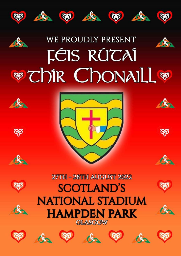

# WE PROUDLY PRESENT **FÉIS RÚCAÍ WEDIR CHONAILL WE**







**RP** 

 $\alpha$ 

















ϯ

人

Ъ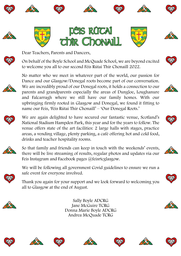



On behalf of the Boyle School and McQuade School, we are beyond excited to welcome you all to our second Féis Rútai Thír Chonaill 2022.



No matter who we meet in whatever part of the world, our passion for Dance and our Glasgow/Donegal roots become part of our conversation. We are incredibly proud of our Donegal roots, it holds a connection to our parents and grandparents especially the areas of Dungloe, Loughanure and Falcarragh where we still have our family homes. With our upbringing firmly rooted in Glasgow and Donegal, we found it fitting to name our Feis, 'Féis Rútai Thír Chonaill' – 'Our Donegal Roots.'



We are again delighted to have secured our fantastic venue, Scotland's National Stadium Hampden Park, this year and for the years to follow. The venue offers state of the art facilities: 2 large halls with stages, practice areas, a vending village, plenty parking, a café offering hot and cold food, drinks and teacher hospitality rooms.



So that family and friends can keep in touch with the weekends' events, there will be live streaming of results, regular photos and updates via our Feis Instagram and Facebook pages @feisrtcglasgow.



We will be following all government Covid guidelines to ensure we run a safe event for everyone involved.

Thank you again for your support and we look forward to welcoming you all to Glasgow at the end of August.



Sally Boyle ADCRG Jane McGuire TCRG Donna Marie Boyle ADCRG Andrea McQuade TCRG





















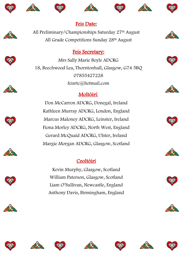











## Feis Date:

All Preliminary/Championships Saturday 27th August All Grade Competitions Sunday 28th August

# Feis Secretary:

Mrs Sally Marie Boyle ADCRG 18, Beechwood Lea, Thorntonhall, Glasgow, G74 5BQ 07855427228 feisrtc@hotmail.com

# Moltóirí:

Don McCarron ADCRG, Donegal, Ireland Kathleen Murray ADCRG, London, England Marcus Maloney ADCRG, Leinster, Ireland Fiona Morley ADCRG, North West, England Gerard McQuaid ADCRG, Ulster, Ireland Margie Morgan ADCRG, Glasgow, Scotland

# Ceoltóirí

Kevin Murphy, Glasgow, Scotland William Paterson, Glasgow, Scotland Liam O'Sullivan, Newcastle, England Anthony Davis, Birmingham, England



























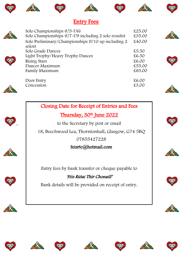











# **Entry Fees:**

| Solo Championships (U5-U6)<br>Solo Championships (U7-U9 including 2 solo results) | £25.00<br>£35.00 |  |
|-----------------------------------------------------------------------------------|------------------|--|
| Solo Preliminary/Championships (U10 up including 2<br>solos)                      | £40.00           |  |
| Solo Grade Dances                                                                 | £5.50            |  |
| Light Trophy/Heavy Trophy Dances                                                  | £6.50            |  |
| Rising Stars                                                                      | £6.00            |  |
| Dancer Maximum                                                                    | £55.00           |  |
| Family Maximum                                                                    | £85.00           |  |
| Door Entry                                                                        | £6.00            |  |
| Concession                                                                        | £3.00            |  |
|                                                                                   |                  |  |



.



Thursday, 30th June 2022

to the Secretary by post or email

18, Beechwood Lea, Thorntonhall, Glasgow, G74 5BQ

07855427228

#### feisrtc@hotmail.com

Entry fees by bank transfer or cheque payable to

### 'Féis Rútai Thír Chonaill'

Bank details will be provided on receipt of entry.





















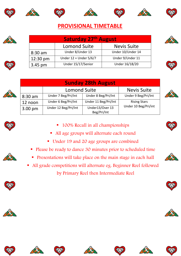











# **PROVISIONAL TIMETABLE**

| <b>Saturday 27th August</b> |                        |                    |  |
|-----------------------------|------------------------|--------------------|--|
|                             | <b>Lomond Suite</b>    | <b>Nevis Suite</b> |  |
| $8:30$ am                   | Under 8/Under 13       | Under 10/Under 14  |  |
| 12:30 pm                    | Under 12 + Under 5/6/7 | Under 9/Under 11   |  |
| 3.45 pm                     | Under 15/17/Senior     | Under 16/18/20     |  |







| <b>Sunday 28th August</b> |                      |                                |                      |  |  |
|---------------------------|----------------------|--------------------------------|----------------------|--|--|
|                           | <b>Lomond Suite</b>  |                                | <b>Nevis Suite</b>   |  |  |
| 8:30 am                   | Under 7 Beg/Pri/Int  | Under 8 Beg/Pri/Int            | Under 9 Beg/Pri/Int  |  |  |
| 12 noon                   | Under 6 Beg/Pri/Int  | Under 11 Beg/Pri/Int           | <b>Rising Stars</b>  |  |  |
| $3.00 \text{ pm}$         | Under 12 Beg/Pri/Int | Under13/Over 13<br>Beg/Pri/Int | Under 10 Beg/Pri/int |  |  |







- 100% Recall in all championships
- All age groups will alternate each round
- Under 19 and 20 age groups are combined
- Please be ready to dance 30 minutes prior to scheduled time
- **•** Presentations will take place on the main stage in each hall
- All grade competitions will alternate eg. Beginner Reel followed by Primary Reel then Intermediate Reel



















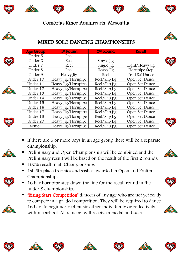









## MIXED SOLO DANCING CHAMPIONSHIPS

| <b>Age Group</b> | 1 <sup>st</sup> Round | 2 <sup>nd</sup> Round | <b>Recall</b>   |
|------------------|-----------------------|-----------------------|-----------------|
| Under 5          | Reel                  |                       |                 |
| Under 6          | Reel                  | Single Jig            |                 |
| Under 7          | Reel                  | Single Jig            | Light/Heavy Jig |
| Under 8          | Reel                  | Heavy Jig             | Hornpipe Step   |
| Under 9          | Heavy Jig             | Reel                  | Trad Set Dance  |
| Under 10         | Heavy Jig/Hornpipe    | Reel/Slip Jig         | Open Set Dance  |
| Under 11         | Heavy Jig/Hornpipe    | Reel/Slip Jig         | Open Set Dance  |
| Under 12         | Heavy Jig/Hornpipe    | Reel/Slip Jig         | Open Set Dance  |
| Under 13         | Heavy Jig/Hornpipe    | Reel/Slip Jig         | Open Set Dance  |
| Under 14         | Heavy Jig/Hornpipe    | Reel/Slip Jig         | Open Set Dance  |
| Under 15         | Heavy Jig/Hornpipe    | Reel/Slip Jig         | Open Set Dance  |
| Under 16         | Heavy Jig/Hornpipe    | Reel/Slip Jig         | Open Set Dance  |
| Under 17         | Heavy Jig/Hornpipe    | Reel/Slip Jig         | Open Set Dance  |
| Under 18         | Heavy Jig/Hornpipe    | Reel/Slip Jig         | Open Set Dance  |
| Under 20         | Heavy Jig/Hornpipe    | Reel/Slip Jig         | Open Set Dance  |
| Senior           | Heavy Jig/Hornpipe    | Reel/Slip Jig         | Open Set Dance  |



- If there are 5 or more boys in an age group there will be a separate championship.
- Preliminary and Open Championship will be combined and the Preliminary result will be based on the result of the first 2 rounds.
	- 100% recall in all Championships
- 1st-5th place trophies and sashes awarded in Open and Prelim Championships
- 16 bar hornpipe step down the line for the recall round in the under 8 championships
- **Example 1** 'Rising Stars Competition' dancers of any age who are not yet ready to compete in a graded competition. They will be required to dance 16 bars to beginner reel music either individually or collectively within a school. All dancers will receive a medal and sash.



















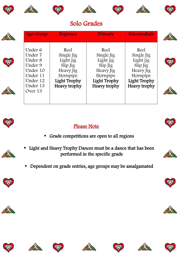











# Solo Grades





## Please Note



- Grade competitions are open to all regions
- Light and Heavy Trophy Dances must be a dance that has been performed in the specific grade
- Dependent on grade entries, age groups may be amalgamated





















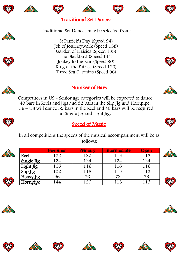















Traditional Set Dances may be selected from:

St Patrick's Day (Speed 94) Job of Journeywork (Speed 138) Garden of Daisies (Speed 138) The Blackbird (Speed 144) Jockey to the Fair (Speed 90) King of the Fairies (Speed 130) Three Sea Captains (Speed 96)





#### Number of Bars

Competitors in U9 - Senior age categories will be expected to dance 40 bars in Reels and Jigs and 32 bars in the Slip Jig and Hornpipe. U6 – U8 will dance 32 bars in the Reel and 40 bars will be required in Single Jig and Light Jig.



## **Speed of Music**

 ln all competitions the speeds of the musical accompaniment will be as follows:

|  |             | <b>Beginner</b> | Primary | Intermediate | <b>Open</b> |  |
|--|-------------|-----------------|---------|--------------|-------------|--|
|  | <b>Reel</b> | 122             | 120     | 113          | 113         |  |
|  | Single Jig  | 124             | 124     | 124          | 124         |  |
|  | Light Jig   | 116             | 116     | 116          | 116         |  |
|  | Slip Jig    | 122             | 118     | 113          | 113         |  |
|  | Heavy Jig   | 96              | 76      |              |             |  |
|  | Hornpipe    | 144             | $120 -$ | 113          | 113         |  |



















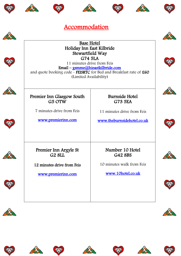































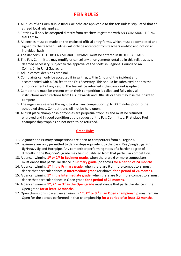#### **FEIS RULES**

- 1.All rules of An Coimisiún le Rincí Gaelacha are applicable to this feis unless stipulated that an agreed local rule applies.
- 2. Entries will only be accepted directly from teachers registered with AN COIMISIÚN LE RINCÍ GAELACHA.
- 3.All entries must be made on the enclosed official entry forms, which must be completed and signed by the teacher. Entries will only be accepted from teachers en-bloc and not on an individual basis.
- 4. The dancer's FULL FIRST NAME and SURNAME must be entered in BLOCK CAPITALS.
- 5. The Feis Committee may modify or cancel any arrangements detailed in this syllabus as is deemed necessary, subject to the approval of the Scottish Regional Council or An Coimisiún le Rincí Gaelacha.
- 6.Adjudicators' decisions are final.
- 7. Complaints can only be accepted if in writing, within 1 hour of the incident and accompanied with a £30 fee to the Feis Secretary. This should be submitted prior to the announcement of any result. The fee will be returned if the complaint is upheld.
- 8. Competitors must be present when their competition is called and fully obey all instructions and directions from Feis Stewards and Officials or they may lose their right to compete
- 9. The organisers reserve the right to start any competition up to 30 minutes prior to the scheduled times. Competitions will not be held open.
- 10. All first place championship trophies are perpetual trophies and must be returned engraved and in good condition at the request of the Feis Committee. First place Prelim championship trophies do not need to be returned.

#### **Grade Rules**

- 11. Beginner and Primary competitions are open to competitors from all regions.
- 12. Beginners are only permitted to dance steps equivelent to the basic Reel/Single Jig/Light Jig/Heavy Jig and Hornpipe. Any competitor performing steps of a harder degree of difficulty in the Beginner's grade may be disqualifiiied from that particular competition.
- 13. A dancer winning **1 st or 2nd in Beginner grade**, when there are 6 or more competitors, must dance that particular dance in **Primary grade** (or above) **for a period of 24 months**.
- 14. A dancer winning 1<sup>st</sup> in the Primary grade, when there are 6 or more competitors, must dance that particular dance in **Intermediate grade** (or above) **for a period of 24 months**.
- 15. A dancer winning 1<sup>st</sup> in the Intermediate grade, when there are 6 or more competitors, must dance that particular dance in Open grade **for a period of 24 months**.
- 16. A dancer winning 1<sup>st</sup>, 2<sup>nd</sup> or 3<sup>rd</sup> in the Open grade must dance that particular dance in the Open grade **for at least 12 months.**
- 17. Open championship a dancer winning 1<sup>st</sup>, 2<sup>nd</sup> or 3<sup>rd</sup> in an Open championship must remain Open for the dances performed in that championship **for a period of at least 12 months.**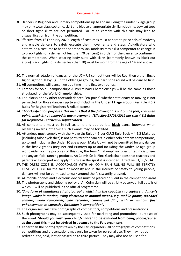#### **Costume Rules**

- 18. Dancers in Beginner and Primary competitions up to and including the under 12 age group may only wear class costume, skirt and blouse or appropriate civillian clothing. Low cut tops or short tight skirts are not permitted. Failure to comply with this rule may lead to disqualification from the competition.
- 19. Effective from  $1<sup>st</sup>$  February 2020, length of costumes must adhere to principals of modesty and enable dancers to safely execute their movements and steps. Adjudicators who determine a costume to be too short or to lack modesty may ask a competitor to change in to black tights (of a denier not less than 70 per cent) in order for the dancer to continue in the competition. When wearing body suits with skirts (commonly known as black-out attire) black tights (of a denier less than 70) must be worn from the age of 14 and above.
- 20. The normal rotation of dances for the U7 U9 competitions will be Reel then either Single Jig or Light or Heavy Jig. In the older age groups, the hard shoe round will be danced first.
- 21. **All** competitors will dance two at a time in the first two rounds.
- 22. Tempos for Solo Championships & Preliminary Championships will be the same as those stipulated for the World Championships.
- 23. Toe blocks or any other footwork danced "en-point" whether stationary or moving is not permitted for those dancers **up to and including the Under 12 age group**. (Per Rule 4.6.2 Rules for Registered Teachers & Adjudicators).
- *24. \*For clarification purposes, this means that if the full weight is put on the foot, that is en point, which is not allowed in any movement. (Effective 27/01/2019 per rule 4.6.2 Rules for Registered Teachers & Adjudicators)*
- 25. All competitors must be in full costume and appropriate **black** dance footwear when receiving awards, otherwise such awards may be forfeited.
- 26. Attendees must comply with the Make Up Rules 4.5 per CLRG Rule Book 4.5.2 Make-up (including false eyelashes) is not permitted for dancers in either solo or team competitions, up to and including the Under 10 age group. Make Up will not be permitted for any dancer in the first 2 grades (Begiiner and Primary) up to and including the Under 12 age group worldwide. For the purposes of this rule, the term "make-up" includes tinted moisturiser and any artificial tanning products. An Coimisiún le Rincí Gaelacha hopes that teachers and parents will interpret and apply this rule in the spirit it is intended. Effective 01/03/2014.
- 27. THE DRESS CODE IN ACCORDANCE WITH AN COIMISIÚN RULING WILL BE STRICTLY OBSERVED. i.e. for the sake of modesty and in the interest of safety to young people, dancers will not be permitted to walk around the feis scantily dressed.
- 28. All mobile phones and electronic devices must be placed on silent in the competition areas.
- 29. The photography and videoing policy of An Coimisiún will be strictly observed, full details of which will be published in the official programme.
- 30. *"Any form of unauthorised photography which has the capability to capture a dancer's image whilst in motion, using electronic or manual means, e.g. mobile phone, standard camera, video camcorder, cine recorder, commercial film, with or without flash enhancement, is expressley forbidden in competition".*
- 31. The organisers will take photographs of competitors, competitions and presentations.
- 32. Such photographs may be subsequently used for marketing and promotional purposes of the event. **Should you wish your child/children to be excluded from being photographed at the event this must be advised in advance to the Feis organisers.**
- 33. Other than the photographs taken by the Feis organisers, all photographs of competitions, competitions and presentations may only be taken for personal use. They may not be redistributed, sold, lent or passed on to third parties. They may also not be used for